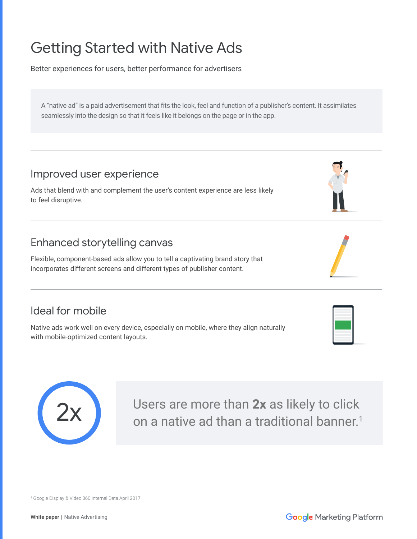# Getting Started with Native Ads

Better experiences for users, better performance for advertisers

A "native ad" is a paid advertisement that fits the look, feel and function of a publisher's content. It assimilates seamlessly into the design so that it feels like it belongs on the page or in the app.

## Improved user experience

Ads that blend with and complement the user's content experience are less likely to feel disruptive.

# Enhanced storytelling canvas

Flexible, component-based ads allow you to tell a captivating brand story that incorporates different screens and different types of publisher content.

# Ideal for mobile

Native ads work well on every device, especially on mobile, where they align naturally with mobile-optimized content layouts.



Users are more than **2x** as likely to click on a native ad than a traditional banner.<sup>1</sup>



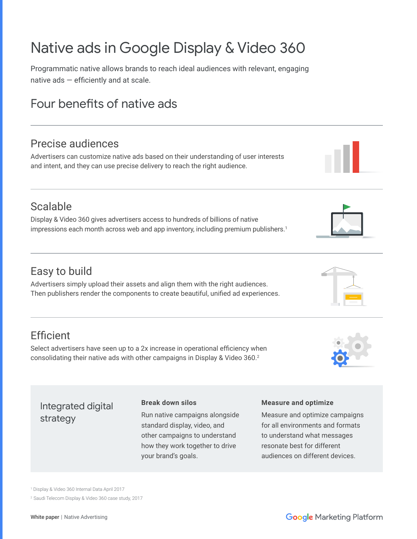# Native ads in Google Display & Video 360

Programmatic native allows brands to reach ideal audiences with relevant, engaging native ads — efficiently and at scale.

# Four benefits of native ads

# Precise audiences

Advertisers can customize native ads based on their understanding of user interests and intent, and they can use precise delivery to reach the right audience.

# Scalable

Display & Video 360 gives advertisers access to hundreds of billions of native impressions each month across web and app inventory, including premium publishers.<sup>1</sup>

# Easy to build

Advertisers simply upload their assets and align them with the right audiences. Then publishers render the components to create beautiful, unified ad experiences.

# **Efficient**

Select advertisers have seen up to a 2x increase in operational efficiency when consolidating their native ads with other campaigns in Display & Video 360.<sup>2</sup>

### Integrated digital strategy

### **Break down silos**

Run native campaigns alongside standard display, video, and other campaigns to understand how they work together to drive your brand's goals.

### **Measure and optimize**

Measure and optimize campaigns for all environments and formats to understand what messages resonate best for different audiences on different devices.





1 Display & Video 360 Internal Data April 2017 2 Saudi Telecom Display & Video 360 case study, 2017